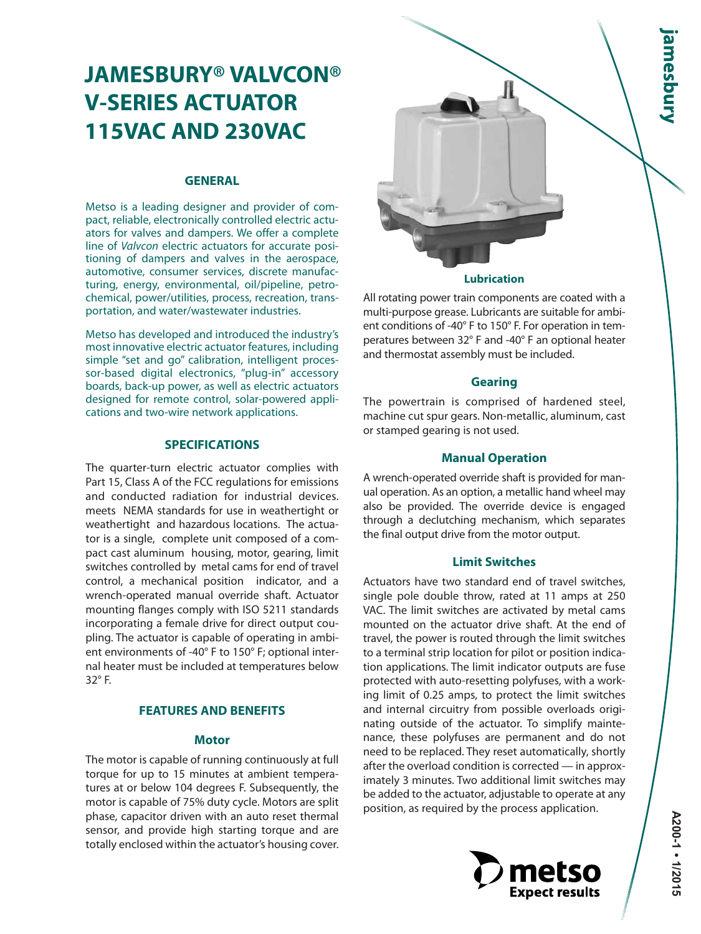# **JAMESBURY® VALVCON® V-SERIES ACTUATOR 115VAC AND 230VAC**

#### **GENERAL**

Metso is a leading designer and provider of compact, reliable, electronically controlled electric actuators for valves and dampers. We offer a complete line of Valvcon electric actuators for accurate positioning of dampers and valves in the aerospace, automotive, consumer services, discrete manufacturing, energy, environmental, oil/pipeline, petrochemical, power/utilities, process, recreation, transportation, and water/wastewater industries.

Metso has developed and introduced the industry's most innovative electric actuator features, including simple "set and go" calibration, intelligent processor-based digital electronics, "plug-in" accessory boards, back-up power, as well as electric actuators designed for remote control, solar-powered applications and two-wire network applications.

#### **SPECIFICATIONS**

The quarter-turn electric actuator complies with Part 15, Class A of the FCC regulations for emissions and conducted radiation for industrial devices. meets NEMA standards for use in weathertight or weathertight and hazardous locations. The actuator is a single, complete unit composed of a compact cast aluminum housing, motor, gearing, limit switches controlled by metal cams for end of travel control, a mechanical position indicator, and a wrench-operated manual override shaft. Actuator mounting flanges comply with ISO 5211 standards incorporating a female drive for direct output coupling. The actuator is capable of operating in ambient environments of -40° F to 150° F; optional internal heater must be included at temperatures below 32° F.

### **FEATURES AND BENEFITS**

#### **Motor**

The motor is capable of running continuously at full torque for up to 15 minutes at ambient temperatures at or below 104 degrees F. Subsequently, the motor is capable of 75% duty cycle. Motors are split phase, capacitor driven with an auto reset thermal sensor, and provide high starting torque and are totally enclosed within the actuator's housing cover.



All rotating power train components are coated with a multi-purpose grease. Lubricants are suitable for ambient conditions of -40° F to 150° F. For operation in temperatures between 32° F and -40° F an optional heater and thermostat assembly must be included.

#### **Gearing**

The powertrain is comprised of hardened steel, machine cut spur gears. Non-metallic, aluminum, cast or stamped gearing is not used.

#### **Manual Operation**

A wrench-operated override shaft is provided for manual operation. As an option, a metallic hand wheel may also be provided. The override device is engaged through a declutching mechanism, which separates the final output drive from the motor output.

#### **Limit Switches**

Actuators have two standard end of travel switches, single pole double throw, rated at 11 amps at 250 VAC. The limit switches are activated by metal cams mounted on the actuator drive shaft. At the end of travel, the power is routed through the limit switches to a terminal strip location for pilot or position indication applications. The limit indicator outputs are fuse protected with auto-resetting polyfuses, with a working limit of 0.25 amps, to protect the limit switches and internal circuitry from possible overloads originating outside of the actuator. To simplify maintenance, these polyfuses are permanent and do not need to be replaced. They reset automatically, shortly after the overload condition is corrected — in approximately 3 minutes. Two additional limit switches may be added to the actuator, adjustable to operate at any position, as required by the process application.

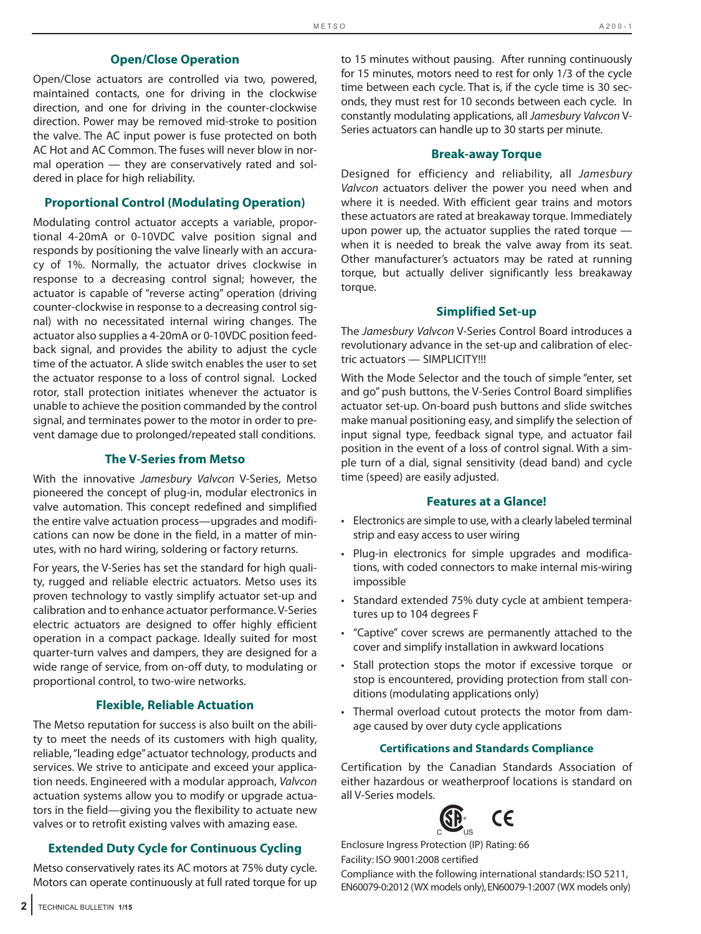#### **Open/Close Operation**

Open/Close actuators are controlled via two, powered, maintained contacts, one for driving in the clockwise direction, and one for driving in the counter-clockwise direction. Power may be removed mid-stroke to position the valve. The AC input power is fuse protected on both AC Hot and AC Common. The fuses will never blow in normal operation — they are conservatively rated and soldered in place for high reliability.

#### **Proportional Control (Modulating Operation)**

Modulating control actuator accepts a variable, proportional 4-20mA or 0-10VDC valve position signal and responds by positioning the valve linearly with an accuracy of 1%. Normally, the actuator drives clockwise in response to a decreasing control signal; however, the actuator is capable of "reverse acting" operation (driving counter-clockwise in response to a decreasing control signal) with no necessitated internal wiring changes. The actuator also supplies a 4-20mA or 0-10VDC position feedback signal, and provides the ability to adjust the cycle time of the actuator. A slide switch enables the user to set the actuator response to a loss of control signal. Locked rotor, stall protection initiates whenever the actuator is unable to achieve the position commanded by the control signal, and terminates power to the motor in order to prevent damage due to prolonged/repeated stall conditions.

#### **The V-Series from Metso**

With the innovative Jamesbury Valvcon V-Series, Metso pioneered the concept of plug-in, modular electronics in valve automation. This concept redefined and simplified the entire valve actuation process—upgrades and modifications can now be done in the field, in a matter of minutes, with no hard wiring, soldering or factory returns.

For years, the V-Series has set the standard for high quality, rugged and reliable electric actuators. Metso uses its proven technology to vastly simplify actuator set-up and calibration and to enhance actuator performance. V-Series electric actuators are designed to offer highly efficient operation in a compact package. Ideally suited for most quarter-turn valves and dampers, they are designed for a wide range of service, from on-off duty, to modulating or proportional control, to two-wire networks.

#### **Flexible, Reliable Actuation**

The Metso reputation for success is also built on the ability to meet the needs of its customers with high quality, reliable, "leading edge" actuator technology, products and services. We strive to anticipate and exceed your application needs. Engineered with a modular approach, Valvcon actuation systems allow you to modify or upgrade actuators in the field—giving you the flexibility to actuate new valves or to retrofit existing valves with amazing ease.

#### **Extended Duty Cycle for Continuous Cycling**

Metso conservatively rates its AC motors at 75% duty cycle. Motors can operate continuously at full rated torque for up to 15 minutes without pausing. After running continuously for 15 minutes, motors need to rest for only 1/3 of the cycle time between each cycle. That is, if the cycle time is 30 seconds, they must rest for 10 seconds between each cycle. In constantly modulating applications, all Jamesbury Valvcon V-Series actuators can handle up to 30 starts per minute.

#### **Break-away Torque**

Designed for efficiency and reliability, all Jamesbury Valvcon actuators deliver the power you need when and where it is needed. With efficient gear trains and motors these actuators are rated at breakaway torque. Immediately upon power up, the actuator supplies the rated torque when it is needed to break the valve away from its seat. Other manufacturer's actuators may be rated at running torque, but actually deliver significantly less breakaway torque.

#### **Simplified Set-up**

The Jamesbury Valvcon V-Series Control Board introduces a revolutionary advance in the set-up and calibration of electric actuators — SIMPLICITY!!!

With the Mode Selector and the touch of simple "enter, set and go" push buttons, the V-Series Control Board simplifies actuator set-up. On-board push buttons and slide switches make manual positioning easy, and simplify the selection of input signal type, feedback signal type, and actuator fail position in the event of a loss of control signal. With a simple turn of a dial, signal sensitivity (dead band) and cycle time (speed) are easily adjusted.

#### **Features at a Glance!**

- Electronics are simple to use, with a clearly labeled terminal strip and easy access to user wiring
- Plug-in electronics for simple upgrades and modifications, with coded connectors to make internal mis-wiring impossible
- Standard extended 75% duty cycle at ambient temperatures up to 104 degrees F
- "Captive" cover screws are permanently attached to the cover and simplify installation in awkward locations
- Stall protection stops the motor if excessive torque or stop is encountered, providing protection from stall conditions (modulating applications only)
- Thermal overload cutout protects the motor from damage caused by over duty cycle applications

#### **Certifications and Standards Compliance**

Certification by the Canadian Standards Association of either hazardous or weatherproof locations is standard on all V-Series models.



Enclosure Ingress Protection (IP) Rating: 66 Facility: ISO 9001:2008 certified

Compliance with the following international standards: ISO 5211, EN60079-0:2012 (WX models only),EN60079-1:2007 (WX models only)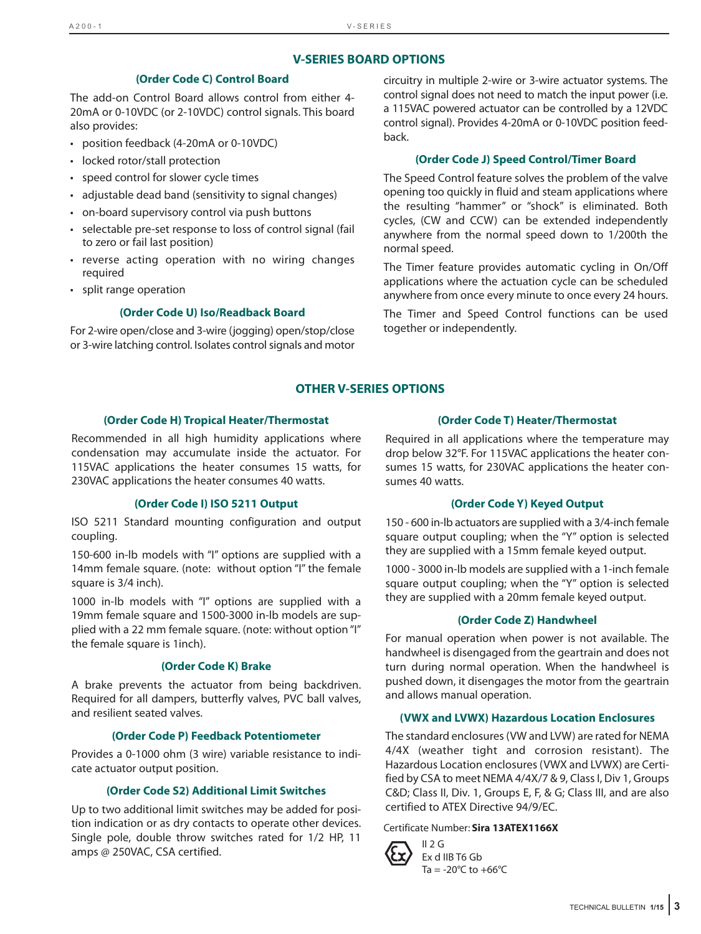### **V-SERIES BOARD OPTIONS**

#### **(Order Code C) Control Board**

The add-on Control Board allows control from either 4- 20mA or 0-10VDC (or 2-10VDC) control signals. This board also provides:

- position feedback (4-20mA or 0-10VDC)
- locked rotor/stall protection
- speed control for slower cycle times
- adjustable dead band (sensitivity to signal changes)
- on-board supervisory control via push buttons
- selectable pre-set response to loss of control signal (fail to zero or fail last position)
- reverse acting operation with no wiring changes required
- split range operation

#### **(Order Code U) Iso/Readback Board**

For 2-wire open/close and 3-wire (jogging) open/stop/close or 3-wire latching control. Isolates control signals and motor circuitry in multiple 2-wire or 3-wire actuator systems. The control signal does not need to match the input power (i.e. a 115VAC powered actuator can be controlled by a 12VDC control signal). Provides 4-20mA or 0-10VDC position feedback.

#### **(Order Code J) Speed Control/Timer Board**

The Speed Control feature solves the problem of the valve opening too quickly in fluid and steam applications where the resulting "hammer" or "shock" is eliminated. Both cycles, (CW and CCW) can be extended independently anywhere from the normal speed down to 1/200th the normal speed.

The Timer feature provides automatic cycling in On/Off applications where the actuation cycle can be scheduled anywhere from once every minute to once every 24 hours.

The Timer and Speed Control functions can be used together or independently.

#### **OTHER V-SERIES OPTIONS**

#### **(Order Code H) Tropical Heater/Thermostat**

Recommended in all high humidity applications where condensation may accumulate inside the actuator. For 115VAC applications the heater consumes 15 watts, for 230VAC applications the heater consumes 40 watts.

#### **(Order Code I) ISO 5211 Output**

ISO 5211 Standard mounting configuration and output coupling.

150-600 in-lb models with "I" options are supplied with a 14mm female square. (note: without option "I" the female square is 3/4 inch).

1000 in-lb models with "I" options are supplied with a 19mm female square and 1500-3000 in-lb models are supplied with a 22 mm female square. (note: without option "I" the female square is 1inch).

#### **(Order Code K) Brake**

A brake prevents the actuator from being backdriven. Required for all dampers, butterfly valves, PVC ball valves, and resilient seated valves.

#### **(Order Code P) Feedback Potentiometer**

Provides a 0-1000 ohm (3 wire) variable resistance to indicate actuator output position.

#### **(Order Code S2) Additional Limit Switches**

Up to two additional limit switches may be added for position indication or as dry contacts to operate other devices. Single pole, double throw switches rated for 1/2 HP, 11 amps @ 250VAC, CSA certified.

#### **(Order Code T) Heater/Thermostat**

Required in all applications where the temperature may drop below 32°F. For 115VAC applications the heater consumes 15 watts, for 230VAC applications the heater consumes 40 watts.

#### **(Order Code Y) Keyed Output**

150 - 600 in-lb actuators are supplied with a 3/4-inch female square output coupling; when the "Y" option is selected they are supplied with a 15mm female keyed output.

1000 - 3000 in-lb models are supplied with a 1-inch female square output coupling; when the "Y" option is selected they are supplied with a 20mm female keyed output.

#### **(Order Code Z) Handwheel**

For manual operation when power is not available. The handwheel is disengaged from the geartrain and does not turn during normal operation. When the handwheel is pushed down, it disengages the motor from the geartrain and allows manual operation.

#### **(VWX and LVWX) Hazardous Location Enclosures**

The standard enclosures (VW and LVW) are rated for NEMA 4/4X (weather tight and corrosion resistant). The Hazardous Location enclosures (VWX and LVWX) are Certified by CSA to meet NEMA 4/4X/7 & 9, Class I, Div 1, Groups C&D; Class II, Div. 1, Groups E, F, & G; Class III, and are also certified to ATEX Directive 94/9/EC.

#### Certificate Number: **Sira 13ATEX1166X**



Ex d IIB T6 Gb Ta =  $-20^{\circ}$ C to  $+66^{\circ}$ C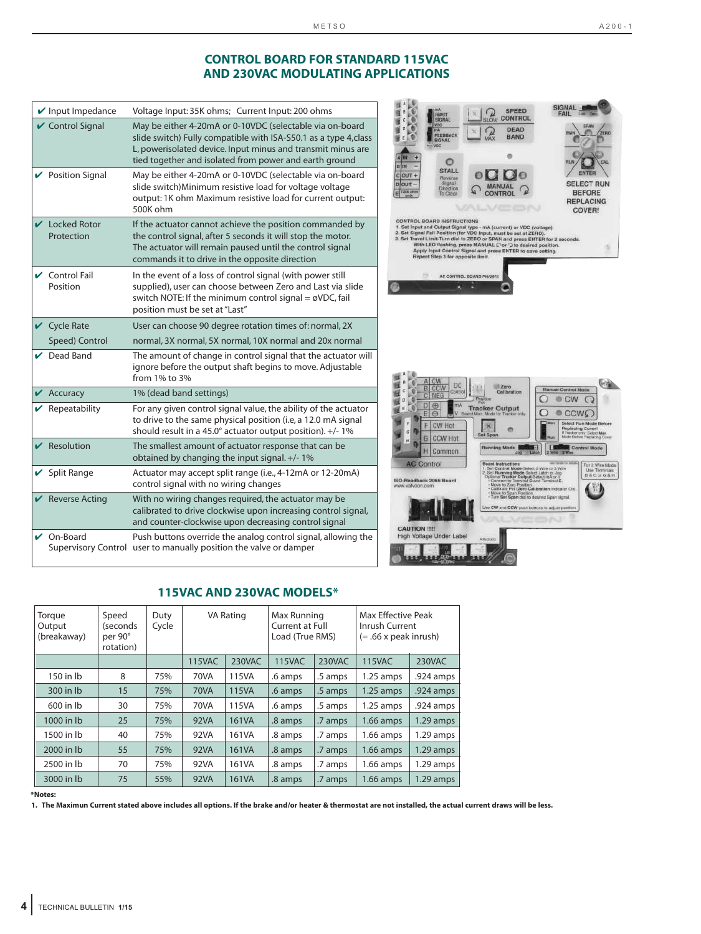#### **CONTROL BOARD FOR STANDARD 115VAC AND 230VAC MODULATING APPLICATIONS**

|   | $\mathbf v$ Input Impedance                   | Voltage Input: 35K ohms; Current Input: 200 ohms                                                                                                                                                                                                      |
|---|-----------------------------------------------|-------------------------------------------------------------------------------------------------------------------------------------------------------------------------------------------------------------------------------------------------------|
|   | ✔ Control Signal                              | May be either 4-20mA or 0-10VDC (selectable via on-board<br>slide switch) Fully compatible with ISA-S50.1 as a type 4, class<br>L, powerisolated device. Input minus and transmit minus are<br>tied together and isolated from power and earth ground |
|   | ✔ Position Signal                             | May be either 4-20mA or 0-10VDC (selectable via on-board<br>slide switch) Minimum resistive load for voltage voltage<br>output: 1K ohm Maximum resistive load for current output:<br>500K ohm                                                         |
|   | $\vee$ Locked Rotor<br>Protection             | If the actuator cannot achieve the position commanded by<br>the control signal, after 5 seconds it will stop the motor.<br>The actuator will remain paused until the control signal<br>commands it to drive in the opposite direction                 |
|   | $\sqrt{\phantom{a}}$ Control Fail<br>Position | In the event of a loss of control signal (with power still<br>supplied), user can choose between Zero and Last via slide<br>switch NOTE: If the minimum control signal = $\emptyset$ VDC, fail<br>position must be set at "Last"                      |
|   | $\vee$ Cycle Rate                             | User can choose 90 degree rotation times of: normal, 2X                                                                                                                                                                                               |
|   | Speed) Control                                | normal, 3X normal, 5X normal, 10X normal and 20x normal                                                                                                                                                                                               |
|   | $\nu$ Dead Band                               | The amount of change in control signal that the actuator will<br>ignore before the output shaft begins to move. Adjustable<br>from 1% to 3%                                                                                                           |
|   | $\mathbf{\mathsf{V}}$ Accuracy                | 1% (dead band settings)                                                                                                                                                                                                                               |
|   | $\mathbf{\nabla}$ Repeatability               | For any given control signal value, the ability of the actuator                                                                                                                                                                                       |
|   |                                               | to drive to the same physical position (i.e, a 12.0 mA signal<br>should result in a 45.0° actuator output position). +/- 1%                                                                                                                           |
| ✓ | Resolution                                    | The smallest amount of actuator response that can be<br>obtained by changing the input signal. +/-1%                                                                                                                                                  |
|   | $\vee$ Split Range                            | Actuator may accept split range (i.e., 4-12mA or 12-20mA)<br>control signal with no wiring changes                                                                                                                                                    |
|   | $\mathcal V$ Reverse Acting                   | With no wiring changes required, the actuator may be<br>calibrated to drive clockwise upon increasing control signal,<br>and counter-clockwise upon decreasing control signal                                                                         |



#### **115VAC AND 230VAC MODELS\***

| Torque<br>Output<br>(breakaway) | Speed<br>(seconds<br>per 90°<br>rotation) | Duty<br>Cycle | VA Rating     |        | Max Running<br>Current at Full<br>Load (True RMS) |         | Max Effective Peak<br>Inrush Current<br>$(= .66 \times$ peak inrush) |             |
|---------------------------------|-------------------------------------------|---------------|---------------|--------|---------------------------------------------------|---------|----------------------------------------------------------------------|-------------|
|                                 |                                           |               | <b>115VAC</b> | 230VAC | <b>115VAC</b>                                     | 230VAC  | 115VAC                                                               | 230VAC      |
| 150 in lb                       | 8                                         | 75%           | 70VA          | 115VA  | .6 amps                                           | .5 amps | $1.25$ amps                                                          | .924 amps   |
| 300 in lb                       | 15                                        | 75%           | <b>70VA</b>   | 115VA  | .6 amps                                           | .5 amps | $1.25$ amps                                                          | .924 amps   |
| 600 in lb                       | 30                                        | 75%           | 70VA          | 115VA  | .6 amps                                           | .5 amps | $1.25$ amps                                                          | .924 amps   |
| 1000 in lb                      | 25                                        | 75%           | 92VA          | 161VA  | .8 amps                                           | .7 amps | $1.66$ amps                                                          | $1.29$ amps |
| 1500 in lb                      | 40                                        | 75%           | 92VA          | 161VA  | .8 amps                                           | .7 amps | $1.66$ amps                                                          | $1.29$ amps |
| 2000 in lb                      | 55                                        | 75%           | 92VA          | 161VA  | .8 amps                                           | .7 amps | $1.66$ amps                                                          | $1.29$ amps |
| 2500 in lb                      | 70                                        | 75%           | 92VA          | 161VA  | .8 amps                                           | .7 amps | $1.66$ amps                                                          | $1.29$ amps |
| 3000 in lb                      | 75                                        | 55%           | 92VA          | 161VA  | .8 amps                                           | .7 amps | $1.66$ amps                                                          | $1.29$ amps |

**\*Notes:**

**1. The Maximun Current stated above includes all options. If the brake and/or heater & thermostat are not installed, the actual current draws will be less.**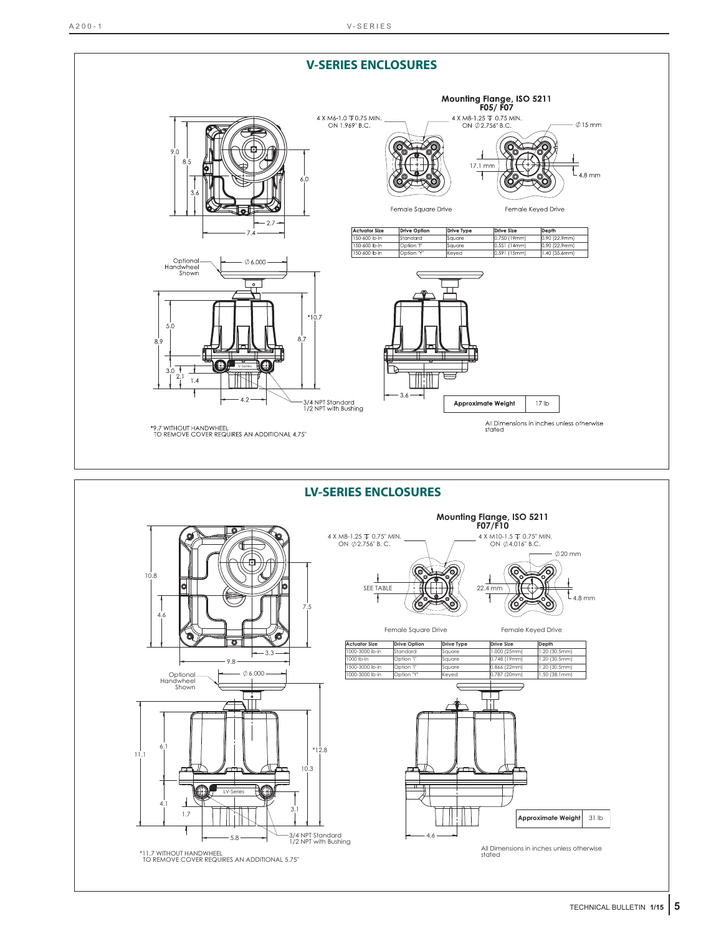

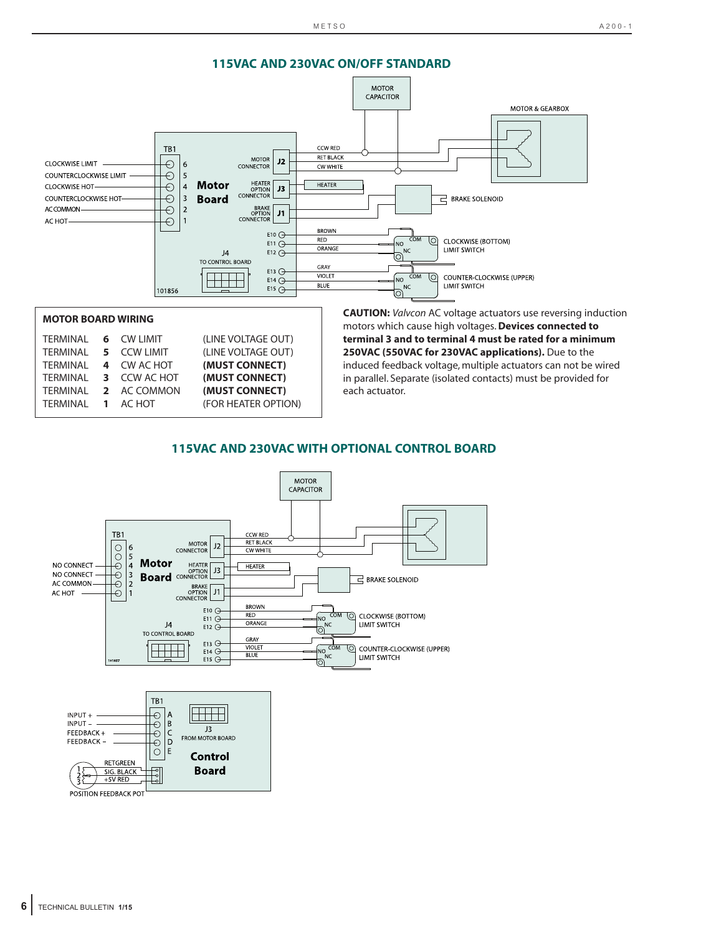

| TERMINAL 6 CW LIMIT |              | (LINE VOLTAGE OUT) |
|---------------------|--------------|--------------------|
| TERMINAL            | 5 CCW LIMIT  | (LINE VOLTAGE OUT) |
| TERMINAL            | 4 CW AC HOT  | (MUST CONNECT)     |
| TERMINAL            | 3 CCW AC HOT | (MUST CONNECT)     |
| TERMINAL            | 2 AC COMMON  | (MUST CONNECT)     |
| TERMINAL 1 AC HOT   |              | (FOR HEATER OPTION |
|                     |              |                    |

motors which cause high voltages.**Devices connected to terminal 3 and to terminal 4 must be rated for a minimum 250VAC (550VAC for 230VAC applications).** Due to the induced feedback voltage, multiple actuators can not be wired in parallel. Separate (isolated contacts) must be provided for each actuator.

### **115VAC AND 230VAC WITH OPTIONAL CONTROL BOARD**

**OPTION)** 

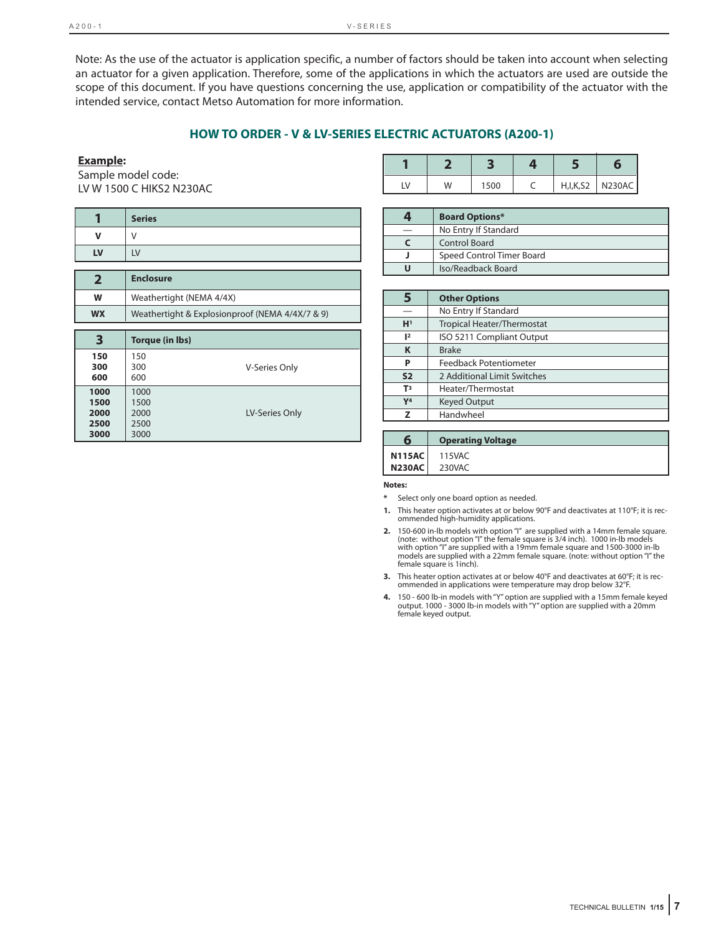Note: As the use of the actuator is application specific, a number of factors should be taken into account when selecting an actuator for a given application. Therefore, some of the applications in which the actuators are used are outside the scope of this document. If you have questions concerning the use, application or compatibility of the actuator with the intended service, contact Metso Automation for more information.

#### **HOW TO ORDER - V & LV-SERIES ELECTRIC ACTUATORS (A200-1)**

#### **Example:**

Sample model code: LV W 1500 C HIKS2 N230AC

| 1              | <b>Series</b>                                   |
|----------------|-------------------------------------------------|
| v              | V                                               |
| LV             | LV                                              |
|                |                                                 |
| $\overline{2}$ | <b>Enclosure</b>                                |
| W              | Weathertight (NEMA 4/4X)                        |
| <b>WX</b>      | Weathertight & Explosionproof (NEMA 4/4X/7 & 9) |
|                |                                                 |
|                |                                                 |
| 3              | <b>Torque (in lbs)</b>                          |
| 150            | 150                                             |
| 300<br>600     | <b>V-Series Only</b><br>300<br>600              |
| 1000           | 1000                                            |
| 1500           | 1500                                            |
| 2000           | LV-Series Only<br>2000                          |
| 2500<br>3000   | 2500<br>3000                                    |

| W | 1500 |  | H, I, K, S2   N230AC |
|---|------|--|----------------------|

| <b>Board Options*</b>     |
|---------------------------|
| No Entry If Standard      |
| Control Board             |
| Speed Control Timer Board |
| Iso/Readback Board        |

|                | <b>Other Options</b>              |
|----------------|-----------------------------------|
|                | No Entry If Standard              |
| H <sup>1</sup> | <b>Tropical Heater/Thermostat</b> |
| $\mathsf{I}^2$ | ISO 5211 Compliant Output         |
| K              | <b>Brake</b>                      |
| P              | Feedback Potentiometer            |
| S <sub>2</sub> | 2 Additional Limit Switches       |
| T <sup>3</sup> | Heater/Thermostat                 |
| Y <sup>4</sup> | <b>Keyed Output</b>               |
|                | Handwheel                         |
|                |                                   |

| <b>Operating Voltage</b> |
|--------------------------|
| <b>N115AC</b> 115VAC     |
| <b>N230AC</b> 230VAC     |

#### **Notes:**

- Select only one board option as needed.
- **1.** This heater option activates at or below 90°F and deactivates at 110°F; it is recommended high-humidity applications.
- 2. 150-600 in-lb models with option "I" are supplied with a 14mm female square.<br>(note: without option "I" the female square is 3/4 inch). 1000 in-lb models<br>with option "I" are supplied with a 19mm female square and 1500-30 models are supplied with a 22mm female square. (note: without option "I" the female square is 1inch).
- **3.** This heater option activates at or below 40°F and deactivates at 60°F; it is recommended in applications were temperature may drop below 32°F.
- **4.** 150 600 lb-in models with "Y" option are supplied with a 15mm female keyed<br>output. 1000 3000 lb-in models with "Y" option are supplied with a 20mm<br>female keyed output.